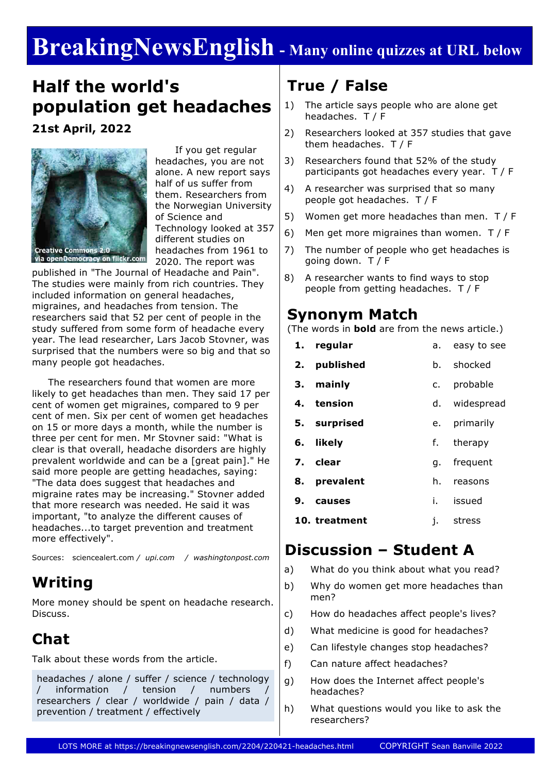# **BreakingNewsEnglish - Many online quizzes at URL below**

# **Half the world's population get headaches 21st April, 2022**

**Creative Commons 2.0** via openDemocracy on flickr.com

 If you get regular headaches, you are not alone. A new report says half of us suffer from them. Researchers from the Norwegian University of Science and Technology looked at 357 different studies on headaches from 1961 to 2020. The report was

published in "The Journal of Headache and Pain". The studies were mainly from rich countries. They included information on general headaches, migraines, and headaches from tension. The researchers said that 52 per cent of people in the study suffered from some form of headache every year. The lead researcher, Lars Jacob Stovner, was surprised that the numbers were so big and that so many people got headaches.

 The researchers found that women are more likely to get headaches than men. They said 17 per cent of women get migraines, compared to 9 per cent of men. Six per cent of women get headaches on 15 or more days a month, while the number is three per cent for men. Mr Stovner said: "What is clear is that overall, headache disorders are highly prevalent worldwide and can be a [great pain]." He said more people are getting headaches, saying: "The data does suggest that headaches and migraine rates may be increasing." Stovner added that more research was needed. He said it was important, "to analyze the different causes of headaches...to target prevention and treatment more effectively".

Sources: sciencealert.com */ upi.com / washingtonpost.com*

# **Writing**

More money should be spent on headache research. Discuss.

# **Chat**

Talk about these words from the article.

```
headaches / alone / suffer / science / technology 
/ information / tension / numbers /
researchers / clear / worldwide / pain / data / 
prevention / treatment / effectively
```
# **True / False**

- 1) The article says people who are alone get headaches. T / F
- 2) Researchers looked at 357 studies that gave them headaches. T / F
- 3) Researchers found that 52% of the study participants got headaches every year. T / F
- 4) A researcher was surprised that so many people got headaches. T / F
- 5) Women get more headaches than men. T / F
- 6) Men get more migraines than women. T / F
- 7) The number of people who get headaches is going down. T / F
- 8) A researcher wants to find ways to stop people from getting headaches. T / F

### **Synonym Match**

(The words in **bold** are from the news article.)

- **1. regular 2. published 3. mainly 4. tension** a. easy to see b. shocked c. probable d. widespread
- **5. surprised** e. primarily
- 
- **6. likely** f. therapy
- **7. clear** g. frequent
- **8. prevalent** h. reasons
- **9. causes** i. issued
- **10. treatment** j. stress

### **Discussion – Student A**

- a) What do you think about what you read?
- b) Why do women get more headaches than men?
- c) How do headaches affect people's lives?
- d) What medicine is good for headaches?
- e) Can lifestyle changes stop headaches?
- f) Can nature affect headaches?
- g) How does the Internet affect people's headaches?
- h) What questions would you like to ask the researchers?